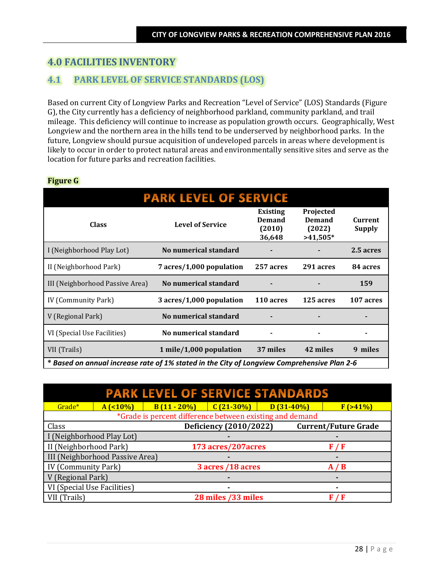# **4.0 FACILITIES INVENTORY**

# **4.1 PARK LEVEL OF SERVICE STANDARDS (LOS)**

Based on current City of Longview Parks and Recreation "Level of Service" (LOS) Standards (Figure G), the City currently has a deficiency of neighborhood parkland, community parkland, and trail mileage. This deficiency will continue to increase as population growth occurs. Geographically, West Longview and the northern area in the hills tend to be underserved by neighborhood parks. In the future, Longview should pursue acquisition of undeveloped parcels in areas where development is likely to occur in order to protect natural areas and environmentally sensitive sites and serve as the location for future parks and recreation facilities.

# **Figure G**

| <b>PARK LEVEL OF SERVICE</b>                                                                |                          |                                               |                                                    |                          |
|---------------------------------------------------------------------------------------------|--------------------------|-----------------------------------------------|----------------------------------------------------|--------------------------|
| <b>Class</b>                                                                                | <b>Level of Service</b>  | Existing<br><b>Demand</b><br>(2010)<br>36,648 | Projected<br><b>Demand</b><br>(2022)<br>$>41,505*$ | Current<br><b>Supply</b> |
| I (Neighborhood Play Lot)                                                                   | No numerical standard    |                                               |                                                    | 2.5 acres                |
| II (Neighborhood Park)                                                                      | 7 acres/1,000 population | 257 acres                                     | 291 acres                                          | 84 acres                 |
| III (Neighborhood Passive Area)                                                             | No numerical standard    |                                               |                                                    | 159                      |
| IV (Community Park)                                                                         | 3 acres/1,000 population | 110 acres                                     | 125 acres                                          | 107 acres                |
| V (Regional Park)                                                                           | No numerical standard    |                                               |                                                    |                          |
| VI (Special Use Facilities)                                                                 | No numerical standard    |                                               |                                                    |                          |
| VII (Trails)                                                                                | 1 mile/1,000 population  | 37 miles                                      | 42 miles                                           | 9 miles                  |
| * Based on annual increase rate of 1% stated in the City of Longview Comprehensive Plan 2-6 |                          |                                               |                                                    |                          |

| <b>PARK LEVEL OF SERVICE STANDARDS</b> |           |                                                          |                        |             |                             |
|----------------------------------------|-----------|----------------------------------------------------------|------------------------|-------------|-----------------------------|
| Grade*                                 | $A(10\%)$ | $B(11 - 20\%)$                                           | $C(21-30\%)$           | $D(31-40%)$ | F(>41%)                     |
|                                        |           | *Grade is percent difference between existing and demand |                        |             |                             |
| Class                                  |           |                                                          | Deficiency (2010/2022) |             | <b>Current/Future Grade</b> |
| I (Neighborhood Play Lot)              |           |                                                          |                        |             |                             |
| II (Neighborhood Park)                 |           |                                                          | 173 acres/207 acres    |             | F/F                         |
| III (Neighborhood Passive Area)        |           |                                                          |                        |             |                             |
| <b>IV</b> (Community Park)             |           |                                                          | 3 acres /18 acres      |             | A/B                         |
| V (Regional Park)                      |           |                                                          |                        |             |                             |
| VI (Special Use Facilities)            |           |                                                          |                        |             |                             |
| VII (Trails)                           |           |                                                          | 28 miles /33 miles     |             | F/F                         |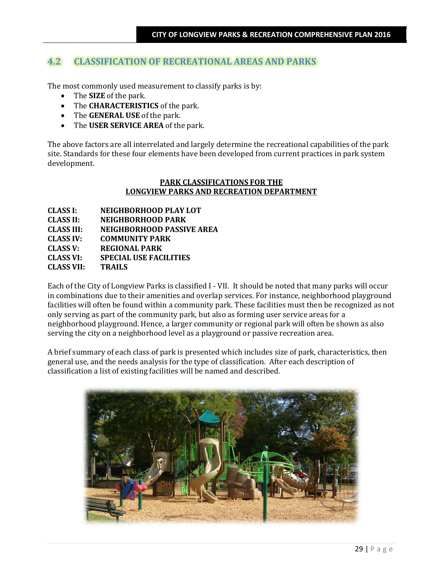# **4.2 CLASSIFICATION OF RECREATIONAL AREAS AND PARKS**

The most commonly used measurement to classify parks is by:

- The **SIZE** of the park.
- The **CHARACTERISTICS** of the park.
- The **GENERAL USE** of the park.
- The **USER SERVICE AREA** of the park.

The above factors are all interrelated and largely determine the recreational capabilities of the park site. Standards for these four elements have been developed from current practices in park system development.

## **PARK CLASSIFICATIONS FOR THE LONGVIEW PARKS AND RECREATION DEPARTMENT**

| <b>CLASS I:</b>   | NEIGHBORHOOD PLAY LOT            |
|-------------------|----------------------------------|
| <b>CLASS II:</b>  | NEIGHBORHOOD PARK                |
| <b>CLASS III:</b> | <b>NEIGHBORHOOD PASSIVE AREA</b> |
| <b>CLASS IV:</b>  | <b>COMMUNITY PARK</b>            |
| <b>CLASS V:</b>   | <b>REGIONAL PARK</b>             |
| <b>CLASS VI:</b>  | <b>SPECIAL USE FACILITIES</b>    |
| <b>CLASS VII:</b> | <b>TRAILS</b>                    |
|                   |                                  |

Each of the City of Longview Parks is classified I - VII. It should be noted that many parks will occur in combinations due to their amenities and overlap services. For instance, neighborhood playground facilities will often be found within a community park. These facilities must then be recognized as not only serving as part of the community park, but also as forming user service areas for a neighborhood playground. Hence, a larger community or regional park will often be shown as also serving the city on a neighborhood level as a playground or passive recreation area.

A brief summary of each class of park is presented which includes size of park, characteristics, then general use, and the needs analysis for the type of classification. After each description of classification a list of existing facilities will be named and described.

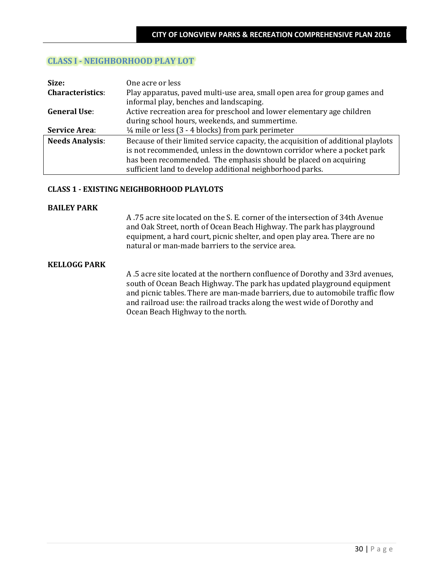# **CLASS I - NEIGHBORHOOD PLAY LOT**

| Size:                   | One acre or less                                                                                                     |
|-------------------------|----------------------------------------------------------------------------------------------------------------------|
| <b>Characteristics:</b> | Play apparatus, paved multi-use area, small open area for group games and<br>informal play, benches and landscaping. |
| <b>General Use:</b>     | Active recreation area for preschool and lower elementary age children                                               |
|                         | during school hours, weekends, and summertime.                                                                       |
| <b>Service Area:</b>    | $\frac{1}{4}$ mile or less (3 - 4 blocks) from park perimeter                                                        |
| <b>Needs Analysis:</b>  | Because of their limited service capacity, the acquisition of additional playlots                                    |
|                         | is not recommended, unless in the downtown corridor where a pocket park                                              |
|                         | has been recommended. The emphasis should be placed on acquiring                                                     |
|                         | sufficient land to develop additional neighborhood parks.                                                            |

### **CLASS 1 - EXISTING NEIGHBORHOOD PLAYLOTS**

#### **BAILEY PARK**

A .75 acre site located on the S. E. corner of the intersection of 34th Avenue and Oak Street, north of Ocean Beach Highway. The park has playground equipment, a hard court, picnic shelter, and open play area. There are no natural or man-made barriers to the service area.

#### **KELLOGG PARK**

A .5 acre site located at the northern confluence of Dorothy and 33rd avenues, south of Ocean Beach Highway. The park has updated playground equipment and picnic tables. There are man-made barriers, due to automobile traffic flow and railroad use: the railroad tracks along the west wide of Dorothy and Ocean Beach Highway to the north.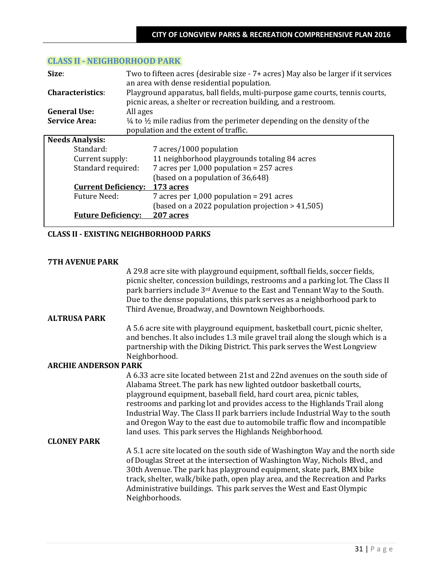| Size:                      | Two to fifteen acres (desirable size - 7+ acres) May also be larger if it services            |                                                                              |  |  |
|----------------------------|-----------------------------------------------------------------------------------------------|------------------------------------------------------------------------------|--|--|
|                            |                                                                                               | an area with dense residential population.                                   |  |  |
| <b>Characteristics:</b>    |                                                                                               | Playground apparatus, ball fields, multi-purpose game courts, tennis courts, |  |  |
|                            |                                                                                               | picnic areas, a shelter or recreation building, and a restroom.              |  |  |
| <b>General Use:</b>        | All ages                                                                                      |                                                                              |  |  |
| <b>Service Area:</b>       | $\frac{1}{4}$ to $\frac{1}{2}$ mile radius from the perimeter depending on the density of the |                                                                              |  |  |
|                            |                                                                                               | population and the extent of traffic.                                        |  |  |
| <b>Needs Analysis:</b>     |                                                                                               |                                                                              |  |  |
| Standard:                  |                                                                                               | 7 acres/1000 population                                                      |  |  |
| Current supply:            |                                                                                               | 11 neighborhood playgrounds totaling 84 acres                                |  |  |
| Standard required:         |                                                                                               | 7 acres per $1,000$ population = 257 acres                                   |  |  |
|                            |                                                                                               | (based on a population of 36,648)                                            |  |  |
| <b>Current Deficiency:</b> |                                                                                               | <u>173 acres</u>                                                             |  |  |
| Future Need:               |                                                                                               | 7 acres per $1,000$ population = 291 acres                                   |  |  |
|                            |                                                                                               | (based on a 2022 population projection $> 41,505$ )                          |  |  |
| <b>Future Deficiency:</b>  |                                                                                               | 207 acres                                                                    |  |  |

## **CLASS II - NEIGHBORHOOD PARK**

### **CLASS II - EXISTING NEIGHBORHOOD PARKS**

### **7TH AVENUE PARK**

A 29.8 acre site with playground equipment, softball fields, soccer fields, picnic shelter, concession buildings, restrooms and a parking lot. The Class II park barriers include 3rd Avenue to the East and Tennant Way to the South. Due to the dense populations, this park serves as a neighborhood park to Third Avenue, Broadway, and Downtown Neighborhoods.

## **ALTRUSA PARK**

A 5.6 acre site with playground equipment, basketball court, picnic shelter, and benches. It also includes 1.3 mile gravel trail along the slough which is a partnership with the Diking District. This park serves the West Longview Neighborhood.

#### **ARCHIE ANDERSON PARK**

A 6.33 acre site located between 21st and 22nd avenues on the south side of Alabama Street. The park has new lighted outdoor basketball courts, playground equipment, baseball field, hard court area, picnic tables, restrooms and parking lot and provides access to the Highlands Trail along Industrial Way. The Class II park barriers include Industrial Way to the south and Oregon Way to the east due to automobile traffic flow and incompatible land uses. This park serves the Highlands Neighborhood.

#### **CLONEY PARK**

A 5.1 acre site located on the south side of Washington Way and the north side of Douglas Street at the intersection of Washington Way, Nichols Blvd., and 30th Avenue. The park has playground equipment, skate park, BMX bike track, shelter, walk/bike path, open play area, and the Recreation and Parks Administrative buildings. This park serves the West and East Olympic Neighborhoods.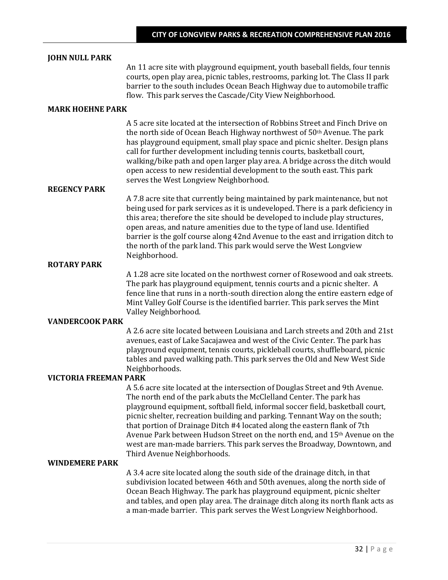#### **JOHN NULL PARK**

An 11 acre site with playground equipment, youth baseball fields, four tennis courts, open play area, picnic tables, restrooms, parking lot. The Class II park barrier to the south includes Ocean Beach Highway due to automobile traffic flow. This park serves the Cascade/City View Neighborhood.

## **MARK HOEHNE PARK**

A 5 acre site located at the intersection of Robbins Street and Finch Drive on the north side of Ocean Beach Highway northwest of 50th Avenue. The park has playground equipment, small play space and picnic shelter. Design plans call for further development including tennis courts, basketball court, walking/bike path and open larger play area. A bridge across the ditch would open access to new residential development to the south east. This park serves the West Longview Neighborhood.

## **REGENCY PARK**

A 7.8 acre site that currently being maintained by park maintenance, but not being used for park services as it is undeveloped. There is a park deficiency in this area; therefore the site should be developed to include play structures, open areas, and nature amenities due to the type of land use. Identified barrier is the golf course along 42nd Avenue to the east and irrigation ditch to the north of the park land. This park would serve the West Longview Neighborhood.

#### **ROTARY PARK**

A 1.28 acre site located on the northwest corner of Rosewood and oak streets. The park has playground equipment, tennis courts and a picnic shelter. A fence line that runs in a north-south direction along the entire eastern edge of Mint Valley Golf Course is the identified barrier. This park serves the Mint Valley Neighborhood.

#### **VANDERCOOK PARK**

A 2.6 acre site located between Louisiana and Larch streets and 20th and 21st avenues, east of Lake Sacajawea and west of the Civic Center. The park has playground equipment, tennis courts, pickleball courts, shuffleboard, picnic tables and paved walking path. This park serves the Old and New West Side Neighborhoods.

#### **VICTORIA FREEMAN PARK**

A 5.6 acre site located at the intersection of Douglas Street and 9th Avenue. The north end of the park abuts the McClelland Center. The park has playground equipment, softball field, informal soccer field, basketball court, picnic shelter, recreation building and parking. Tennant Way on the south; that portion of Drainage Ditch #4 located along the eastern flank of 7th Avenue Park between Hudson Street on the north end, and 15<sup>th</sup> Avenue on the west are man-made barriers. This park serves the Broadway, Downtown, and Third Avenue Neighborhoods.

## **WINDEMERE PARK**

A 3.4 acre site located along the south side of the drainage ditch, in that subdivision located between 46th and 50th avenues, along the north side of Ocean Beach Highway. The park has playground equipment, picnic shelter and tables, and open play area. The drainage ditch along its north flank acts as a man-made barrier. This park serves the West Longview Neighborhood.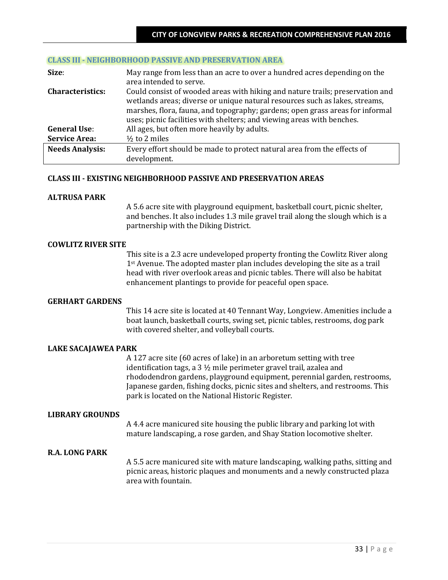#### **CLASS III - NEIGHBORHOOD PASSIVE AND PRESERVATION AREA**

| Size:                   | May range from less than an acre to over a hundred acres depending on the<br>area intended to serve.                                                                                                                                                                                                                    |
|-------------------------|-------------------------------------------------------------------------------------------------------------------------------------------------------------------------------------------------------------------------------------------------------------------------------------------------------------------------|
| <b>Characteristics:</b> | Could consist of wooded areas with hiking and nature trails; preservation and<br>wetlands areas; diverse or unique natural resources such as lakes, streams,<br>marshes, flora, fauna, and topography; gardens; open grass areas for informal<br>uses; picnic facilities with shelters; and viewing areas with benches. |
| <b>General Use:</b>     | All ages, but often more heavily by adults.                                                                                                                                                                                                                                                                             |
| <b>Service Area:</b>    | $\frac{1}{2}$ to 2 miles                                                                                                                                                                                                                                                                                                |
| <b>Needs Analysis:</b>  | Every effort should be made to protect natural area from the effects of<br>development.                                                                                                                                                                                                                                 |
|                         |                                                                                                                                                                                                                                                                                                                         |

#### **CLASS III - EXISTING NEIGHBORHOOD PASSIVE AND PRESERVATION AREAS**

### **ALTRUSA PARK**

A 5.6 acre site with playground equipment, basketball court, picnic shelter, and benches. It also includes 1.3 mile gravel trail along the slough which is a partnership with the Diking District.

#### **COWLITZ RIVER SITE**

This site is a 2.3 acre undeveloped property fronting the Cowlitz River along 1<sup>st</sup> Avenue. The adopted master plan includes developing the site as a trail head with river overlook areas and picnic tables. There will also be habitat enhancement plantings to provide for peaceful open space.

#### **GERHART GARDENS**

This 14 acre site is located at 40 Tennant Way, Longview. Amenities include a boat launch, basketball courts, swing set, picnic tables, restrooms, dog park with covered shelter, and volleyball courts.

## **LAKE SACAJAWEA PARK**

A 127 acre site (60 acres of lake) in an arboretum setting with tree identification tags, a 3 ½ mile perimeter gravel trail, azalea and rhododendron gardens, playground equipment, perennial garden, restrooms, Japanese garden, fishing docks, picnic sites and shelters, and restrooms. This park is located on the National Historic Register.

## **LIBRARY GROUNDS**

A 4.4 acre manicured site housing the public library and parking lot with mature landscaping, a rose garden, and Shay Station locomotive shelter.

## **R.A. LONG PARK**

A 5.5 acre manicured site with mature landscaping, walking paths, sitting and picnic areas, historic plaques and monuments and a newly constructed plaza area with fountain.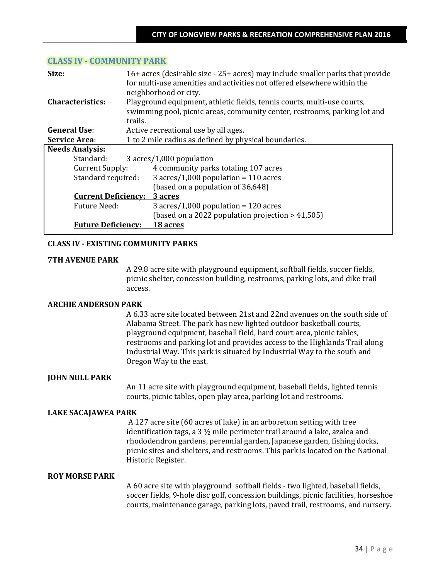## **CLASS IV - COMMUNITY PARK**

| Size:                      | 16+ acres (desirable size - 25+ acres) may include smaller parks that provide<br>for multi-use amenities and activities not offered elsewhere within the<br>neighborhood or city. |                                                     |  |  |
|----------------------------|-----------------------------------------------------------------------------------------------------------------------------------------------------------------------------------|-----------------------------------------------------|--|--|
| Characteristics:           | Playground equipment, athletic fields, tennis courts, multi-use courts,<br>swimming pool, picnic areas, community center, restrooms, parking lot and                              |                                                     |  |  |
|                            | trails.                                                                                                                                                                           |                                                     |  |  |
| <b>General Use:</b>        |                                                                                                                                                                                   | Active recreational use by all ages.                |  |  |
| <b>Service Area:</b>       | 1 to 2 mile radius as defined by physical boundaries.                                                                                                                             |                                                     |  |  |
| <b>Needs Analysis:</b>     |                                                                                                                                                                                   |                                                     |  |  |
| Standard:                  |                                                                                                                                                                                   | 3 acres/1,000 population                            |  |  |
| Current Supply:            |                                                                                                                                                                                   | 4 community parks totaling 107 acres                |  |  |
| Standard required:         |                                                                                                                                                                                   | 3 acres/1,000 population = $110$ acres              |  |  |
|                            |                                                                                                                                                                                   | (based on a population of 36,648)                   |  |  |
| <b>Current Deficiency:</b> |                                                                                                                                                                                   | 3 acres                                             |  |  |
| Future Need:               |                                                                                                                                                                                   | $3 \arcsin(1,000)$ population = 120 acres           |  |  |
|                            |                                                                                                                                                                                   | (based on a 2022 population projection $> 41,505$ ) |  |  |
| <b>Future Deficiency:</b>  |                                                                                                                                                                                   | 18 acres                                            |  |  |

### **CLASS IV - EXISTING COMMUNITY PARKS**

#### **7TH AVENUE PARK**

A 29.8 acre site with playground equipment, softball fields, soccer fields, picnic shelter, concession building, restrooms, parking lots, and dike trail access.

#### **ARCHIE ANDERSON PARK**

A 6.33 acre site located between 21st and 22nd avenues on the south side of Alabama Street. The park has new lighted outdoor basketball courts, playground equipment, baseball field, hard court area, picnic tables, restrooms and parking lot and provides access to the Highlands Trail along Industrial Way. This park is situated by Industrial Way to the south and Oregon Way to the east.

#### **JOHN NULL PARK**

An 11 acre site with playground equipment, baseball fields, lighted tennis courts, picnic tables, open play area, parking lot and restrooms.

#### **LAKE SACAJAWEA PARK**

A 127 acre site (60 acres of lake) in an arboretum setting with tree identification tags, a 3 ½ mile perimeter trail around a lake, azalea and rhododendron gardens, perennial garden, Japanese garden, fishing docks, picnic sites and shelters, and restrooms. This park is located on the National Historic Register.

## **ROY MORSE PARK**

A 60 acre site with playground softball fields - two lighted, baseball fields, soccer fields, 9-hole disc golf, concession buildings, picnic facilities, horseshoe courts, maintenance garage, parking lots, paved trail, restrooms, and nursery.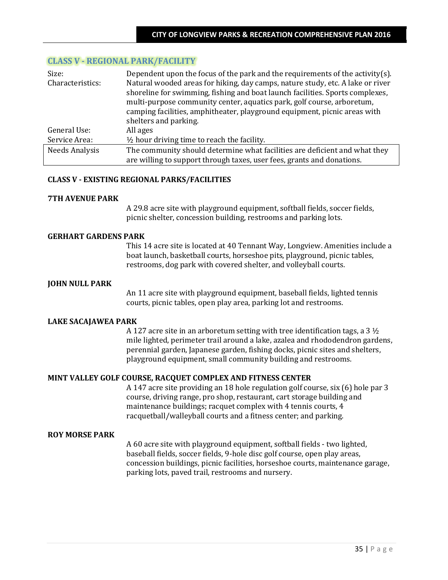# **CLASS V - REGIONAL PARK/FACILITY**

| Size:            | Dependent upon the focus of the park and the requirements of the activity(s).  |
|------------------|--------------------------------------------------------------------------------|
| Characteristics: | Natural wooded areas for hiking, day camps, nature study, etc. A lake or river |
|                  | shoreline for swimming, fishing and boat launch facilities. Sports complexes,  |
|                  | multi-purpose community center, aquatics park, golf course, arboretum,         |
|                  | camping facilities, amphitheater, playground equipment, picnic areas with      |
|                  | shelters and parking.                                                          |
| General Use:     | All ages                                                                       |
| Service Area:    | $\frac{1}{2}$ hour driving time to reach the facility.                         |
| Needs Analysis   | The community should determine what facilities are deficient and what they     |
|                  | are willing to support through taxes, user fees, grants and donations.         |

### **CLASS V - EXISTING REGIONAL PARKS/FACILITIES**

#### **7TH AVENUE PARK**

A 29.8 acre site with playground equipment, softball fields, soccer fields, picnic shelter, concession building, restrooms and parking lots.

### **GERHART GARDENS PARK**

This 14 acre site is located at 40 Tennant Way, Longview. Amenities include a boat launch, basketball courts, horseshoe pits, playground, picnic tables, restrooms, dog park with covered shelter, and volleyball courts.

### **JOHN NULL PARK**

An 11 acre site with playground equipment, baseball fields, lighted tennis courts, picnic tables, open play area, parking lot and restrooms.

#### **LAKE SACAJAWEA PARK**

A 127 acre site in an arboretum setting with tree identification tags, a 3 ½ mile lighted, perimeter trail around a lake, azalea and rhododendron gardens, perennial garden, Japanese garden, fishing docks, picnic sites and shelters, playground equipment, small community building and restrooms.

## **MINT VALLEY GOLF COURSE, RACQUET COMPLEX AND FITNESS CENTER**

A 147 acre site providing an 18 hole regulation golf course, six (6) hole par 3 course, driving range, pro shop, restaurant, cart storage building and maintenance buildings; racquet complex with 4 tennis courts, 4 racquetball/walleyball courts and a fitness center; and parking.

#### **ROY MORSE PARK**

A 60 acre site with playground equipment, softball fields - two lighted, baseball fields, soccer fields, 9-hole disc golf course, open play areas, concession buildings, picnic facilities, horseshoe courts, maintenance garage, parking lots, paved trail, restrooms and nursery.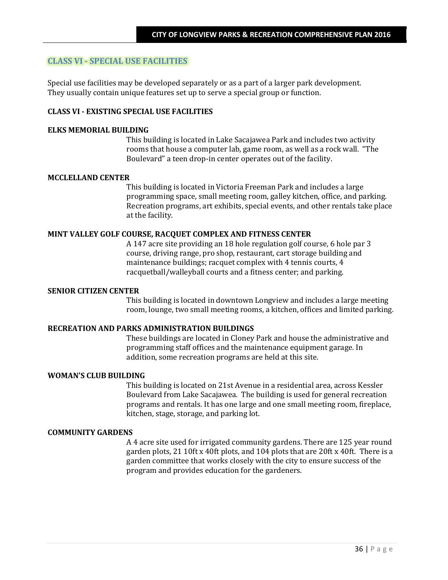# **CLASS VI - SPECIAL USE FACILITIES**

Special use facilities may be developed separately or as a part of a larger park development. They usually contain unique features set up to serve a special group or function.

## **CLASS VI - EXISTING SPECIAL USE FACILITIES**

#### **ELKS MEMORIAL BUILDING**

This building is located in Lake Sacajawea Park and includes two activity rooms that house a computer lab, game room, as well as a rock wall. "The Boulevard" a teen drop-in center operates out of the facility.

#### **MCCLELLAND CENTER**

This building is located in Victoria Freeman Park and includes a large programming space, small meeting room, galley kitchen, office, and parking. Recreation programs, art exhibits, special events, and other rentals take place at the facility.

## **MINT VALLEY GOLF COURSE, RACQUET COMPLEX AND FITNESS CENTER**

A 147 acre site providing an 18 hole regulation golf course, 6 hole par 3 course, driving range, pro shop, restaurant, cart storage building and maintenance buildings; racquet complex with 4 tennis courts, 4 racquetball/walleyball courts and a fitness center; and parking.

#### **SENIOR CITIZEN CENTER**

This building is located in downtown Longview and includes a large meeting room, lounge, two small meeting rooms, a kitchen, offices and limited parking.

### **RECREATION AND PARKS ADMINISTRATION BUILDINGS**

These buildings are located in Cloney Park and house the administrative and programming staff offices and the maintenance equipment garage. In addition, some recreation programs are held at this site.

### **WOMAN'S CLUB BUILDING**

This building is located on 21st Avenue in a residential area, across Kessler Boulevard from Lake Sacajawea. The building is used for general recreation programs and rentals. It has one large and one small meeting room, fireplace, kitchen, stage, storage, and parking lot.

## **COMMUNITY GARDENS**

A 4 acre site used for irrigated community gardens. There are 125 year round garden plots, 21 10ft x 40ft plots, and 104 plots that are 20ft x 40ft. There is a garden committee that works closely with the city to ensure success of the program and provides education for the gardeners.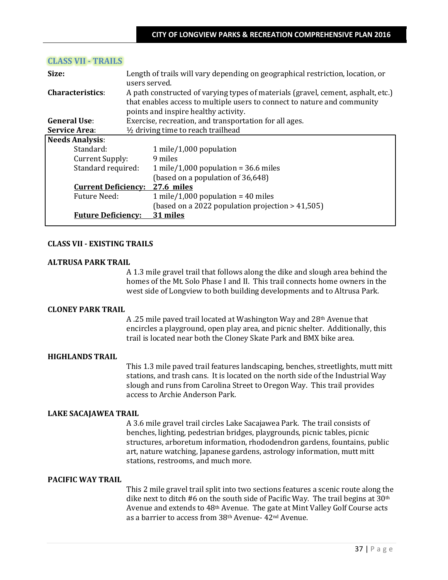| Size:                      | Length of trails will vary depending on geographical restriction, location, or<br>users served.                                                                                                      |                                                        |  |
|----------------------------|------------------------------------------------------------------------------------------------------------------------------------------------------------------------------------------------------|--------------------------------------------------------|--|
| <b>Characteristics:</b>    | A path constructed of varying types of materials (gravel, cement, asphalt, etc.)<br>that enables access to multiple users to connect to nature and community<br>points and inspire healthy activity. |                                                        |  |
| <b>General Use:</b>        |                                                                                                                                                                                                      | Exercise, recreation, and transportation for all ages. |  |
| <b>Service Area:</b>       | 1/2 driving time to reach trailhead                                                                                                                                                                  |                                                        |  |
| <b>Needs Analysis:</b>     |                                                                                                                                                                                                      |                                                        |  |
| Standard:                  |                                                                                                                                                                                                      | $1$ mile/1,000 population                              |  |
| Current Supply:            |                                                                                                                                                                                                      | 9 miles                                                |  |
| Standard required:         |                                                                                                                                                                                                      | 1 mile/1,000 population = $36.6$ miles                 |  |
|                            |                                                                                                                                                                                                      | (based on a population of 36,648)                      |  |
| <b>Current Deficiency:</b> |                                                                                                                                                                                                      | 27.6 miles                                             |  |
| <b>Future Need:</b>        |                                                                                                                                                                                                      | 1 mile/1,000 population = $40$ miles                   |  |
|                            |                                                                                                                                                                                                      | (based on a 2022 population projection $> 41,505$ )    |  |
| <b>Future Deficiency:</b>  |                                                                                                                                                                                                      | 31 miles                                               |  |

## **CLASS VII - TRAILS**

## **CLASS VII - EXISTING TRAILS**

### **ALTRUSA PARK TRAIL**

A 1.3 mile gravel trail that follows along the dike and slough area behind the homes of the Mt. Solo Phase I and II. This trail connects home owners in the west side of Longview to both building developments and to Altrusa Park.

## **CLONEY PARK TRAIL**

A .25 mile paved trail located at Washington Way and 28th Avenue that encircles a playground, open play area, and picnic shelter. Additionally, this trail is located near both the Cloney Skate Park and BMX bike area.

## **HIGHLANDS TRAIL**

This 1.3 mile paved trail features landscaping, benches, streetlights, mutt mitt stations, and trash cans. It is located on the north side of the Industrial Way slough and runs from Carolina Street to Oregon Way. This trail provides access to Archie Anderson Park.

#### **LAKE SACAJAWEA TRAIL**

A 3.6 mile gravel trail circles Lake Sacajawea Park. The trail consists of benches, lighting, pedestrian bridges, playgrounds, picnic tables, picnic structures, arboretum information, rhododendron gardens, fountains, public art, nature watching, Japanese gardens, astrology information, mutt mitt stations, restrooms, and much more.

## **PACIFIC WAY TRAIL**

This 2 mile gravel trail split into two sections features a scenic route along the dike next to ditch #6 on the south side of Pacific Way. The trail begins at 30th Avenue and extends to 48th Avenue. The gate at Mint Valley Golf Course acts as a barrier to access from 38th Avenue- 42nd Avenue.